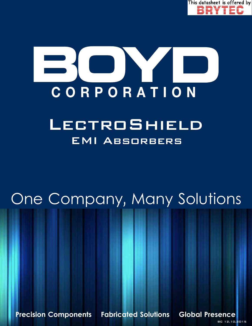

# **TERRA** CORPORATION

## EMI Absorbers **LECTROSHIELD**

# One Company, Many Solutions

**Precision Components Fabricated Solutions Global Presence**

BC 12.10.2015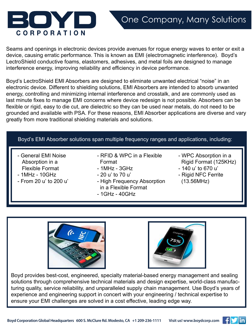

Seams and openings in electronic devices provide avenues for rogue energy waves to enter or exit a device, causing erratic performance. This is known as EMI (electromagnetic interference). Boyd's LectroShield conductive foams, elastomers, adhesives, and metal foils are designed to manage interference energy, improving reliability and efficiency in device performance.

Boyd's LectroShield EMI Absorbers are designed to eliminate unwanted electrical "noise" in an electronic device. Different to shielding solutions, EMI Absorbers are intended to absorb unwanted energy, controlling and minimizing internal interference and crosstalk, and are commonly used as last minute fixes to manage EMI concerns where device redesign is not possible. Absorbers can be flexible or rigid, easy to die cut, are dielectric so they can be used near metals, do not need to be grounded and available with PSA. For these reasons, EMI Absorber applications are diverse and vary greatly from more traditional shielding materials and solutions.

#### Boyd's EMI Absorber solutions span multiple frequency ranges and applications, including:

- General EMI Noise Absorption in a Flexible Format

BOM

**CORPORATION** 

- 1MHz 10GHz
- From 20 u' to 200 u'
- RFID & WPC in a Flexible Format
- 1MHz 3GHz
- 20 u' to 70 u'
- High Frequency Absorption in a Flexible Format
- 1GHz 40GHz
- WPC Absorption in a Rigid Format (125KHz)
- 140 u' to 670 u'
- Rigid NFC Ferrite (13.56MHz)





Boyd provides best-cost, engineered, specialty material-based energy management and sealing solutions through comprehensive technical materials and design expertise, world-class manufacturing quality, service reliability, and unparalleled supply chain management. Use Boyd's years of experience and engineering support in concert with your engineering / technical expertise to ensure your EMI challenges are solved in a cost effective, leading edge way.

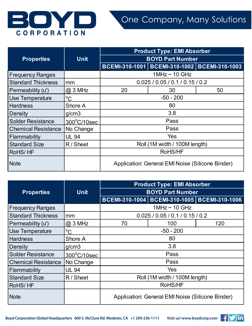

|                            |              | <b>Product Type: EMI Absorber</b>                |                                                  |    |
|----------------------------|--------------|--------------------------------------------------|--------------------------------------------------|----|
| <b>Properties</b>          | <b>Unit</b>  |                                                  | <b>BOYD Part Number</b>                          |    |
|                            |              |                                                  | BCEMI-310-1001   BCEMI-310-1002   BCEMI-310-1003 |    |
| <b>Frequency Ranges</b>    |              |                                                  | $1$ MHz ~ 10 GHz                                 |    |
| <b>Standard Thickness</b>  | mm           |                                                  | 0.025/0.05/0.1/0.15/0.2                          |    |
| Permeability (u')          | $@3$ MHz     | 20                                               | 30                                               | 50 |
| Use Temperature            | $\rm ^{o}C$  |                                                  | $-50 - 200$                                      |    |
| <b>Hardness</b>            | Shore A      |                                                  | 80                                               |    |
| Density                    | g/cm3        | 3.8                                              |                                                  |    |
| <b>Solder Resistance</b>   | 300°C/10sec  | Pass                                             |                                                  |    |
| <b>Chemical Resistance</b> | No Change    | Pass                                             |                                                  |    |
| Flammability               | <b>UL 94</b> | Yes                                              |                                                  |    |
| <b>Standard Size</b>       | R / Sheet    | Roll (1M width / 100M length)                    |                                                  |    |
| RoHS/HF                    |              | RoHS/HF                                          |                                                  |    |
| <b>Note</b>                |              | Application: General EMI Noise (Silicone Binder) |                                                  |    |

|                            |              | <b>Product Type: EMI Absorber</b>                |                                                  |     |  |
|----------------------------|--------------|--------------------------------------------------|--------------------------------------------------|-----|--|
| <b>Properties</b>          | <b>Unit</b>  |                                                  | <b>BOYD Part Number</b>                          |     |  |
|                            |              |                                                  | BCEMI-310-1004   BCEMI-310-1005   BCEMI-310-1006 |     |  |
| <b>Frequency Ranges</b>    |              |                                                  | $1$ MHz ~ 10 GHz                                 |     |  |
| <b>Standard Thickness</b>  | mm           |                                                  | 0.025/0.05/0.1/0.15/0.2                          |     |  |
| Permeability (u')          | $@3$ MHz     | 70                                               | 100                                              | 120 |  |
| Use Temperature            | $\rm ^{o}C$  | $-50 - 200$                                      |                                                  |     |  |
| <b>Hardness</b>            | Shore A      | 80                                               |                                                  |     |  |
| Density                    | g/cm3        | 3.8                                              |                                                  |     |  |
| <b>Solder Resistance</b>   | 300°C/10sec  | Pass                                             |                                                  |     |  |
| <b>Chemical Resistance</b> | No Change    | Pass                                             |                                                  |     |  |
| Flammability               | <b>UL 94</b> | <b>Yes</b>                                       |                                                  |     |  |
| <b>Standard Size</b>       | R / Sheet    | Roll (1M width / 100M length)                    |                                                  |     |  |
| <b>RoHS/HF</b>             |              | RoHS/HF                                          |                                                  |     |  |
| <b>Note</b>                |              | Application: General EMI Noise (Silicone Binder) |                                                  |     |  |

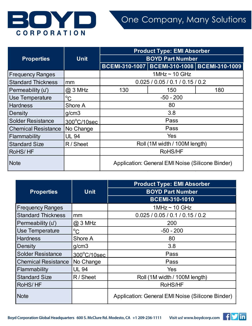

|                            |              | <b>Product Type: EMI Absorber</b>                |                                              |     |  |
|----------------------------|--------------|--------------------------------------------------|----------------------------------------------|-----|--|
| <b>Properties</b>          | <b>Unit</b>  |                                                  | <b>BOYD Part Number</b>                      |     |  |
|                            |              |                                                  | BCEMI-310-1007 BCEMI-310-1008 BCEMI-310-1009 |     |  |
| <b>Frequency Ranges</b>    |              |                                                  | $1$ MHz ~ 10 GHz                             |     |  |
| <b>Standard Thickness</b>  | mm           |                                                  | 0.025 / 0.05 / 0.1 / 0.15 / 0.2              |     |  |
| Permeability (u')          | $@3$ MHz     | 130                                              | 150                                          | 180 |  |
| Use Temperature            | $^{\circ}$ C |                                                  | $-50 - 200$                                  |     |  |
| <b>Hardness</b>            | Shore A      | 80                                               |                                              |     |  |
| Density                    | g/cm3        | 3.8                                              |                                              |     |  |
| <b>Solder Resistance</b>   | 300°C/10sec  | Pass                                             |                                              |     |  |
| <b>Chemical Resistance</b> | No Change    | Pass                                             |                                              |     |  |
| Flammability               | <b>UL 94</b> | Yes                                              |                                              |     |  |
| <b>Standard Size</b>       | R / Sheet    | Roll (1M width / 100M length)                    |                                              |     |  |
| RoHS/HF                    |              | RoHS/HF                                          |                                              |     |  |
| <b>Note</b>                |              | Application: General EMI Noise (Silicone Binder) |                                              |     |  |

|                            |              | <b>Product Type: EMI Absorber</b>                |
|----------------------------|--------------|--------------------------------------------------|
| <b>Properties</b>          | <b>Unit</b>  | <b>BOYD Part Number</b>                          |
|                            |              | <b>BCEMI-310-1010</b>                            |
| <b>Frequency Ranges</b>    |              | $1$ MHz ~ 10 GHz                                 |
| <b>Standard Thickness</b>  | mm           | 0.025 / 0.05 / 0.1 / 0.15 / 0.2                  |
| Permeability (u')          | $@3$ MHz     | 200                                              |
| Use Temperature            | $\rm ^{o}C$  | $-50 - 200$                                      |
| <b>Hardness</b>            | Shore A      | 80                                               |
| Density                    | g/cm3        | 3.8                                              |
| <b>Solder Resistance</b>   | 300°C/10sec  | Pass                                             |
| <b>Chemical Resistance</b> | No Change    | Pass                                             |
| Flammability               | <b>UL 94</b> | Yes                                              |
| <b>Standard Size</b>       | R / Sheet    | Roll (1M width / 100M length)                    |
| RoHS/HF                    |              | RoHS/HF                                          |
| <b>Note</b>                |              | Application: General EMI Noise (Silicone Binder) |

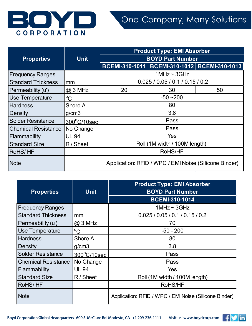

|                            |              | <b>Product Type: EMI Absorber</b> |                                                       |    |
|----------------------------|--------------|-----------------------------------|-------------------------------------------------------|----|
| <b>Properties</b>          | <b>Unit</b>  |                                   | <b>BOYD Part Number</b>                               |    |
|                            |              |                                   | BCEMI-310-1011   BCEMI-310-1012   BCEMI-310-1013      |    |
| <b>Frequency Ranges</b>    |              |                                   | $1$ MHz ~ $3$ GHz                                     |    |
| <b>Standard Thickness</b>  | mm           |                                   | 0.025 / 0.05 / 0.1 / 0.15 / 0.2                       |    |
| Permeability (u')          | $@3$ MHz     | 20                                | 30                                                    | 50 |
| Use Temperature            | $^{\circ}C$  |                                   | $-50 - 200$                                           |    |
| <b>Hardness</b>            | Shore A      | 80                                |                                                       |    |
| Density                    | g/cm3        | 3.8                               |                                                       |    |
| <b>Solder Resistance</b>   | 300°C/10sec  | Pass                              |                                                       |    |
| <b>Chemical Resistance</b> | No Change    | Pass                              |                                                       |    |
| Flammability               | <b>UL 94</b> | Yes                               |                                                       |    |
| <b>Standard Size</b>       | R / Sheet    | Roll (1M width / 100M length)     |                                                       |    |
| RoHS/HF                    |              | RoHS/HF                           |                                                       |    |
| <b>Note</b>                |              |                                   | Application: RFID / WPC / EMI Noise (Silicone Binder) |    |

|                            |              | <b>Product Type: EMI Absorber</b>                     |
|----------------------------|--------------|-------------------------------------------------------|
| <b>Properties</b>          | Unit         | <b>BOYD Part Number</b>                               |
|                            |              | <b>BCEMI-310-1014</b>                                 |
| <b>Frequency Ranges</b>    |              | 1MHz $\sim$ 3GHz                                      |
| <b>Standard Thickness</b>  | mm           | 0.025/0.05/0.1/0.15/0.2                               |
| Permeability (u')          | $@3$ MHz     | 70                                                    |
| Use Temperature            | $^{\circ}C$  | $-50 - 200$                                           |
| <b>Hardness</b>            | Shore A      | 80                                                    |
| Density                    | g/cm3        | 3.8                                                   |
| <b>Solder Resistance</b>   | 300°C/10sec  | Pass                                                  |
| <b>Chemical Resistance</b> | No Change    | Pass                                                  |
| Flammability               | <b>UL 94</b> | Yes                                                   |
| <b>Standard Size</b>       | R / Sheet    | Roll (1M width / 100M length)                         |
| RoHS/HF                    |              | RoHS/HF                                               |
| <b>Note</b>                |              | Application: RFID / WPC / EMI Noise (Silicone Binder) |

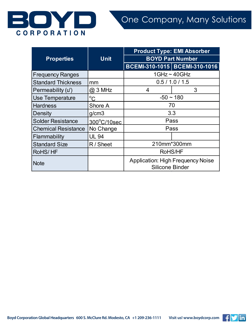

|                            |              | <b>Product Type: EMI Absorber</b> |                                          |  |
|----------------------------|--------------|-----------------------------------|------------------------------------------|--|
| <b>Properties</b>          | <b>Unit</b>  | <b>BOYD Part Number</b>           |                                          |  |
|                            |              |                                   | BCEMI-310-1015 BCEMI-310-1016            |  |
| <b>Frequency Ranges</b>    |              |                                   | $1$ GHz ~ $40$ GHz                       |  |
| <b>Standard Thickness</b>  | mm           |                                   | 0.5 / 1.0 / 1.5                          |  |
| Permeability (u')          | $@3$ MHz     | 4                                 | 3                                        |  |
| <b>Use Temperature</b>     | $^{\circ}C$  | $-50 \sim 180$                    |                                          |  |
| <b>Hardness</b>            | Shore A      | 70                                |                                          |  |
| Density                    | q/cm3        |                                   | 3.3                                      |  |
| <b>Solder Resistance</b>   | 300°C/10sec  | Pass                              |                                          |  |
| <b>Chemical Resistance</b> | No Change    |                                   | Pass                                     |  |
| Flammability               | <b>UL 94</b> |                                   |                                          |  |
| <b>Standard Size</b>       | R / Sheet    |                                   | 210mm*300mm                              |  |
| RoHS/HF                    |              | RoHS/HF                           |                                          |  |
| <b>Note</b>                |              | <b>Silicone Binder</b>            | <b>Application: High Frequency Noise</b> |  |

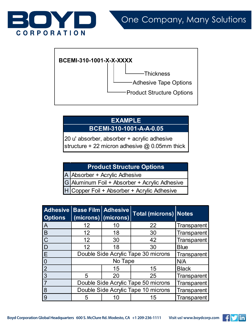



### **EXAMPLE BCEMI-310-1001-A-A-0.05**

20 u' absorber, absorber + acrylic adhesive structure + 22 micron adhesive  $@$  0.05mm thick

### **Product Structure Options**

A Absorber + Acrylic Adhesive

G Aluminum Foil + Absorber + Acrylic Adhesive

Copper Foil + Absorber + Acrylic Adhesive

| <b>Adhesive</b><br><b>Options</b> | Base Film   Adhesive                | (microns) (microns)                 | <b>Total (microns) Notes</b> |                    |
|-----------------------------------|-------------------------------------|-------------------------------------|------------------------------|--------------------|
| $\overline{A}$                    | $12 \overline{ }$                   | 10                                  | 22                           | Transparent        |
| $\overline{B}$                    | 12                                  | 18                                  | 30                           | Transparent        |
| $\overline{C}$                    | 12                                  | 30                                  | 42                           | Transparent        |
| ID                                | 12                                  | 18                                  | 30                           | <b>Blue</b>        |
| E                                 | Double Side Acrylic Tape 30 microns |                                     |                              | Transparent        |
| $\boldsymbol{0}$                  |                                     | N/A                                 |                              |                    |
| $\overline{2}$                    |                                     | 15                                  | 15                           | <b>Black</b>       |
| 3                                 | 5                                   | 20                                  | 25                           | Transparent        |
| $\overline{7}$                    | Double Side Acrylic Tape 50 microns |                                     |                              | Transparent        |
| 8                                 |                                     | Double Side Acrylic Tape 10 microns |                              |                    |
| 9                                 | 5                                   |                                     | 15                           | <b>Transparent</b> |



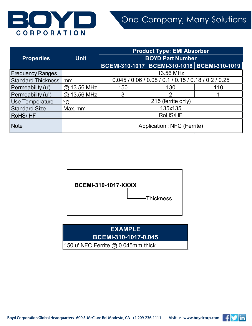

|                         |               | <b>Product Type: EMI Absorber</b>                    |                                                  |     |
|-------------------------|---------------|------------------------------------------------------|--------------------------------------------------|-----|
| <b>Properties</b>       | <b>Unit</b>   |                                                      | <b>BOYD Part Number</b>                          |     |
|                         |               |                                                      | BCEMI-310-1017   BCEMI-310-1018   BCEMI-310-1019 |     |
| <b>Frequency Ranges</b> |               | 13.56 MHz                                            |                                                  |     |
| Standard Thickness Imm  |               | 0.045 / 0.06 / 0.08 / 0.1 / 0.15 / 0.18 / 0.2 / 0.25 |                                                  |     |
| Permeability (u')       | $@.13.56$ MHz | 150                                                  | 130                                              | 110 |
| Permeability (u")       | @ 13.56 MHz   | 3                                                    |                                                  |     |
| Use Temperature         | $^{\circ}C$   | 215 (ferrite only)                                   |                                                  |     |
| <b>Standard Size</b>    | Max. mm       | 135x135                                              |                                                  |     |
| RoHS/HF                 |               | RoHS/HF                                              |                                                  |     |
| <b>Note</b>             |               | Application: NFC (Ferrite)                           |                                                  |     |





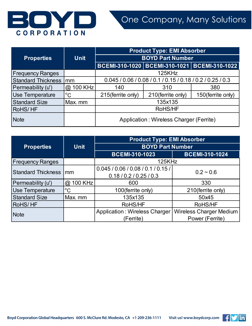

|                           |             |                                                            | <b>Product Type: EMI Absorber</b> |                                                  |
|---------------------------|-------------|------------------------------------------------------------|-----------------------------------|--------------------------------------------------|
| <b>Properties</b>         | <b>Unit</b> | <b>BOYD Part Number</b>                                    |                                   |                                                  |
|                           |             |                                                            |                                   | BCEMI-310-1020   BCEMI-310-1021   BCEMI-310-1022 |
| <b>Frequency Ranges</b>   |             | 125KHz                                                     |                                   |                                                  |
| <b>Standard Thickness</b> | mm          | 0.045 / 0.06 / 0.08 / 0.1 / 0.15 / 0.18 / 0.2 / 0.25 / 0.3 |                                   |                                                  |
| Permeability (u')         | @ 100 KHz   | 140                                                        | 310                               | 380                                              |
| <b>Use Temperature</b>    | $^{\circ}C$ | 215(ferrite only)                                          | 210(ferrite only)                 | 150(ferrite only)                                |
| <b>Standard Size</b>      | Max. mm     | 135x135                                                    |                                   |                                                  |
| RoHS/HF                   |             | RoHS/HF                                                    |                                   |                                                  |
| <b>Note</b>               |             | Application: Wireless Charger (Ferrite)                    |                                   |                                                  |

|                           |             | <b>Product Type: EMI Absorber</b>    |                                |  |  |
|---------------------------|-------------|--------------------------------------|--------------------------------|--|--|
| <b>Properties</b>         | <b>Unit</b> | <b>BOYD Part Number</b>              |                                |  |  |
|                           |             | <b>BCEMI-310-1023</b>                | <b>BCEMI-310-1024</b>          |  |  |
| <b>Frequency Ranges</b>   |             | 125KHz                               |                                |  |  |
| <b>Standard Thickness</b> | lmm         | 0.045/0.06/0.08/0.1/0.15/            | $0.2 - 0.6$                    |  |  |
|                           |             | 0.18 / 0.2 / 0.25 / 0.3              |                                |  |  |
| Permeability (u')         | @ 100 KHz   | 600                                  | 330                            |  |  |
| <b>Use Temperature</b>    | $^{\circ}C$ | 100(ferrite only)                    | 210(ferrite only)              |  |  |
| <b>Standard Size</b>      | Max. mm     | 135x135                              | 50x45                          |  |  |
| <b>RoHS/HF</b>            |             | RoHS/HF                              | RoHS/HF                        |  |  |
| <b>Note</b>               |             | <b>Application: Wireless Charger</b> | <b>Wireless Charger Medium</b> |  |  |
|                           |             | (Ferrite)                            | Power (Ferrite)                |  |  |